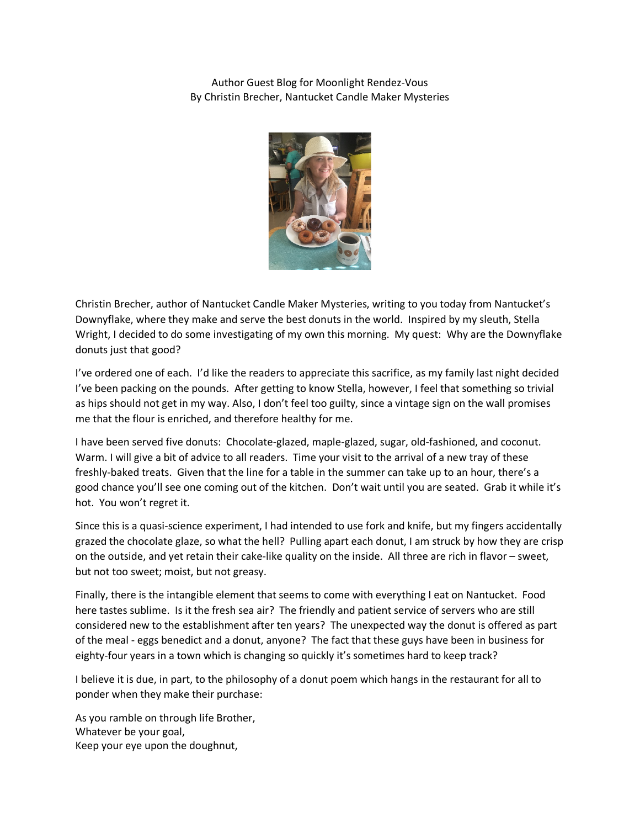Author Guest Blog for Moonlight Rendez-Vous By Christin Brecher, Nantucket Candle Maker Mysteries



Christin Brecher, author of Nantucket Candle Maker Mysteries, writing to you today from Nantucket's Downyflake, where they make and serve the best donuts in the world. Inspired by my sleuth, Stella Wright, I decided to do some investigating of my own this morning. My quest: Why are the Downyflake donuts just that good?

I've ordered one of each. I'd like the readers to appreciate this sacrifice, as my family last night decided I've been packing on the pounds. After getting to know Stella, however, I feel that something so trivial as hips should not get in my way. Also, I don't feel too guilty, since a vintage sign on the wall promises me that the flour is enriched, and therefore healthy for me.

I have been served five donuts: Chocolate-glazed, maple-glazed, sugar, old-fashioned, and coconut. Warm. I will give a bit of advice to all readers. Time your visit to the arrival of a new tray of these freshly-baked treats. Given that the line for a table in the summer can take up to an hour, there's a good chance you'll see one coming out of the kitchen. Don't wait until you are seated. Grab it while it's hot. You won't regret it.

Since this is a quasi-science experiment, I had intended to use fork and knife, but my fingers accidentally grazed the chocolate glaze, so what the hell? Pulling apart each donut, I am struck by how they are crisp on the outside, and yet retain their cake-like quality on the inside. All three are rich in flavor – sweet, but not too sweet; moist, but not greasy.

Finally, there is the intangible element that seems to come with everything I eat on Nantucket. Food here tastes sublime. Is it the fresh sea air? The friendly and patient service of servers who are still considered new to the establishment after ten years? The unexpected way the donut is offered as part of the meal - eggs benedict and a donut, anyone? The fact that these guys have been in business for eighty-four years in a town which is changing so quickly it's sometimes hard to keep track?

I believe it is due, in part, to the philosophy of a donut poem which hangs in the restaurant for all to ponder when they make their purchase:

As you ramble on through life Brother, Whatever be your goal, Keep your eye upon the doughnut,